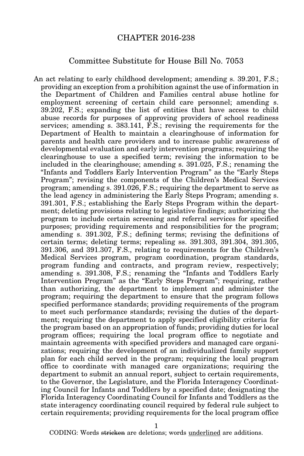## CHAPTER 2016-238

## Committee Substitute for House Bill No. 7053

An act relating to early childhood development; amending s. 39.201, F.S.; providing an exception from a prohibition against the use of information in the Department of Children and Families central abuse hotline for employment screening of certain child care personnel; amending s. 39.202, F.S.; expanding the list of entities that have access to child abuse records for purposes of approving providers of school readiness services; amending s. 383.141, F.S.; revising the requirements for the Department of Health to maintain a clearinghouse of information for parents and health care providers and to increase public awareness of developmental evaluation and early intervention programs; requiring the clearinghouse to use a specified term; revising the information to be included in the clearinghouse; amending s. 391.025, F.S.; renaming the "Infants and Toddlers Early Intervention Program" as the "Early Steps Program"; revising the components of the Children's Medical Services program; amending s. 391.026, F.S.; requiring the department to serve as the lead agency in administering the Early Steps Program; amending s. 391.301, F.S.; establishing the Early Steps Program within the department; deleting provisions relating to legislative findings; authorizing the program to include certain screening and referral services for specified purposes; providing requirements and responsibilities for the program; amending s. 391.302, F.S.; defining terms; revising the definitions of certain terms; deleting terms; repealing ss. 391.303, 391.304, 391.305, 391.306, and 391.307, F.S., relating to requirements for the Children's Medical Services program, program coordination, program standards, program funding and contracts, and program review, respectively; amending s. 391.308, F.S.; renaming the "Infants and Toddlers Early Intervention Program" as the "Early Steps Program"; requiring, rather than authorizing, the department to implement and administer the program; requiring the department to ensure that the program follows specified performance standards; providing requirements of the program to meet such performance standards; revising the duties of the department; requiring the department to apply specified eligibility criteria for the program based on an appropriation of funds; providing duties for local program offices; requiring the local program office to negotiate and maintain agreements with specified providers and managed care organizations; requiring the development of an individualized family support plan for each child served in the program; requiring the local program office to coordinate with managed care organizations; requiring the department to submit an annual report, subject to certain requirements, to the Governor, the Legislature, and the Florida Interagency Coordinating Council for Infants and Toddlers by a specified date; designating the Florida Interagency Coordinating Council for Infants and Toddlers as the state interagency coordinating council required by federal rule subject to certain requirements; providing requirements for the local program office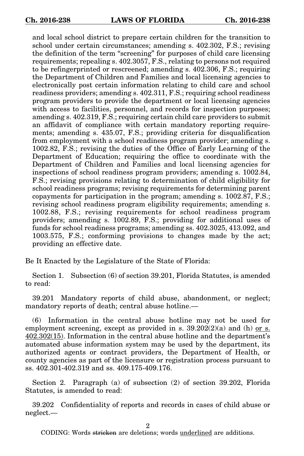and local school district to prepare certain children for the transition to school under certain circumstances; amending s. 402.302, F.S.; revising the definition of the term "screening" for purposes of child care licensing requirements; repealing s. 402.3057, F.S., relating to persons not required to be refingerprinted or rescreened; amending s. 402.306, F.S.; requiring the Department of Children and Families and local licensing agencies to electronically post certain information relating to child care and school readiness providers; amending s. 402.311, F.S.; requiring school readiness program providers to provide the department or local licensing agencies with access to facilities, personnel, and records for inspection purposes; amending s. 402.319, F.S.; requiring certain child care providers to submit an affidavit of compliance with certain mandatory reporting requirements; amending s. 435.07, F.S.; providing criteria for disqualification from employment with a school readiness program provider; amending s. 1002.82, F.S.; revising the duties of the Office of Early Learning of the Department of Education; requiring the office to coordinate with the Department of Children and Families and local licensing agencies for inspections of school readiness program providers; amending s. 1002.84, F.S.; revising provisions relating to determination of child eligibility for school readiness programs; revising requirements for determining parent copayments for participation in the program; amending s. 1002.87, F.S.; revising school readiness program eligibility requirements; amending s. 1002.88, F.S.; revising requirements for school readiness program providers; amending s. 1002.89, F.S.; providing for additional uses of funds for school readiness programs; amending ss. 402.3025, 413.092, and 1003.575, F.S.; conforming provisions to changes made by the act; providing an effective date.

Be It Enacted by the Legislature of the State of Florida:

Section 1. Subsection (6) of section 39.201, Florida Statutes, is amended to read:

39.201 Mandatory reports of child abuse, abandonment, or neglect; mandatory reports of death; central abuse hotline.—

(6) Information in the central abuse hotline may not be used for employment screening, except as provided in s.  $39.202(2)(a)$  and (h) or s. 402.302(15). Information in the central abuse hotline and the department's automated abuse information system may be used by the department, its authorized agents or contract providers, the Department of Health, or county agencies as part of the licensure or registration process pursuant to ss. 402.301-402.319 and ss. 409.175-409.176.

Section 2. Paragraph (a) of subsection (2) of section 39.202, Florida Statutes, is amended to read:

39.202 Confidentiality of reports and records in cases of child abuse or neglect.—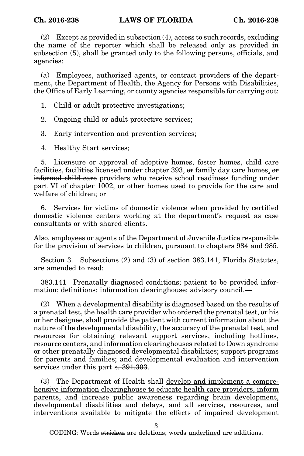(2) Except as provided in subsection (4), access to such records, excluding the name of the reporter which shall be released only as provided in subsection (5), shall be granted only to the following persons, officials, and agencies:

(a) Employees, authorized agents, or contract providers of the department, the Department of Health, the Agency for Persons with Disabilities, the Office of Early Learning, or county agencies responsible for carrying out:

1. Child or adult protective investigations;

2. Ongoing child or adult protective services;

3. Early intervention and prevention services;

4. Healthy Start services;

5. Licensure or approval of adoptive homes, foster homes, child care facilities, facilities licensed under chapter 393, or family day care homes, or informal child care providers who receive school readiness funding under part VI of chapter 1002, or other homes used to provide for the care and welfare of children; or

6. Services for victims of domestic violence when provided by certified domestic violence centers working at the department's request as case consultants or with shared clients.

Also, employees or agents of the Department of Juvenile Justice responsible for the provision of services to children, pursuant to chapters 984 and 985.

Section 3. Subsections (2) and (3) of section 383.141, Florida Statutes, are amended to read:

383.141 Prenatally diagnosed conditions; patient to be provided information; definitions; information clearinghouse; advisory council.—

(2) When a developmental disability is diagnosed based on the results of a prenatal test, the health care provider who ordered the prenatal test, or his or her designee, shall provide the patient with current information about the nature of the developmental disability, the accuracy of the prenatal test, and resources for obtaining relevant support services, including hotlines, resource centers, and information clearinghouses related to Down syndrome or other prenatally diagnosed developmental disabilities; support programs for parents and families; and developmental evaluation and intervention services under this part s. 391.303.

(3) The Department of Health shall develop and implement a comprehensive information clearinghouse to educate health care providers, inform parents, and increase public awareness regarding brain development, developmental disabilities and delays, and all services, resources, and interventions available to mitigate the effects of impaired development

3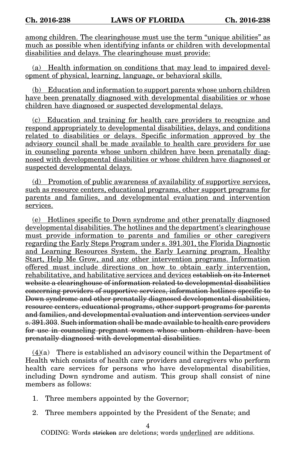among children. The clearinghouse must use the term "unique abilities" as much as possible when identifying infants or children with developmental disabilities and delays. The clearinghouse must provide:

(a) Health information on conditions that may lead to impaired development of physical, learning, language, or behavioral skills.

(b) Education and information to support parents whose unborn children have been prenatally diagnosed with developmental disabilities or whose children have diagnosed or suspected developmental delays.

(c) Education and training for health care providers to recognize and respond appropriately to developmental disabilities, delays, and conditions related to disabilities or delays. Specific information approved by the advisory council shall be made available to health care providers for use in counseling parents whose unborn children have been prenatally diagnosed with developmental disabilities or whose children have diagnosed or suspected developmental delays.

(d) Promotion of public awareness of availability of supportive services, such as resource centers, educational programs, other support programs for parents and families, and developmental evaluation and intervention services.

(e) Hotlines specific to Down syndrome and other prenatally diagnosed developmental disabilities. The hotlines and the department's clearinghouse must provide information to parents and families or other caregivers regarding the Early Steps Program under s. 391.301, the Florida Diagnostic and Learning Resources System, the Early Learning program, Healthy Start, Help Me Grow, and any other intervention programs. Information offered must include directions on how to obtain early intervention, rehabilitative, and habilitative services and devices establish on its Internet website a clearinghouse of information related to developmental disabilities concerning providers of supportive services, information hotlines specific to Down syndrome and other prenatally diagnosed developmental disabilities, resource centers, educational programs, other support programs for parents and families, and developmental evaluation and intervention services under s. 391.303. Such information shall be made available to health care providers for use in counseling pregnant women whose unborn children have been prenatally diagnosed with developmental disabilities.

 $(4)(a)$  There is established an advisory council within the Department of Health which consists of health care providers and caregivers who perform health care services for persons who have developmental disabilities, including Down syndrome and autism. This group shall consist of nine members as follows:

- 1. Three members appointed by the Governor;
- 2. Three members appointed by the President of the Senate; and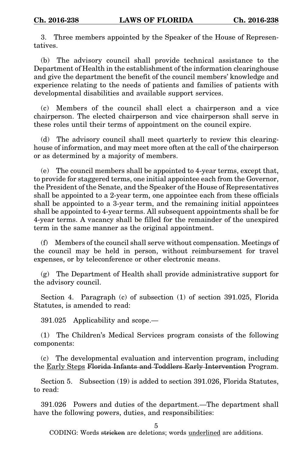3. Three members appointed by the Speaker of the House of Representatives.

(b) The advisory council shall provide technical assistance to the Department of Health in the establishment of the information clearinghouse and give the department the benefit of the council members' knowledge and experience relating to the needs of patients and families of patients with developmental disabilities and available support services.

(c) Members of the council shall elect a chairperson and a vice chairperson. The elected chairperson and vice chairperson shall serve in these roles until their terms of appointment on the council expire.

(d) The advisory council shall meet quarterly to review this clearinghouse of information, and may meet more often at the call of the chairperson or as determined by a majority of members.

(e) The council members shall be appointed to 4-year terms, except that, to provide for staggered terms, one initial appointee each from the Governor, the President of the Senate, and the Speaker of the House of Representatives shall be appointed to a 2-year term, one appointee each from these officials shall be appointed to a 3-year term, and the remaining initial appointees shall be appointed to 4-year terms. All subsequent appointments shall be for 4-year terms. A vacancy shall be filled for the remainder of the unexpired term in the same manner as the original appointment.

(f) Members of the council shall serve without compensation. Meetings of the council may be held in person, without reimbursement for travel expenses, or by teleconference or other electronic means.

(g) The Department of Health shall provide administrative support for the advisory council.

Section 4. Paragraph (c) of subsection (1) of section 391.025, Florida Statutes, is amended to read:

391.025 Applicability and scope.—

(1) The Children's Medical Services program consists of the following components:

(c) The developmental evaluation and intervention program, including the Early Steps Florida Infants and Toddlers Early Intervention Program.

Section 5. Subsection (19) is added to section 391.026, Florida Statutes, to read:

391.026 Powers and duties of the department.—The department shall have the following powers, duties, and responsibilities:

5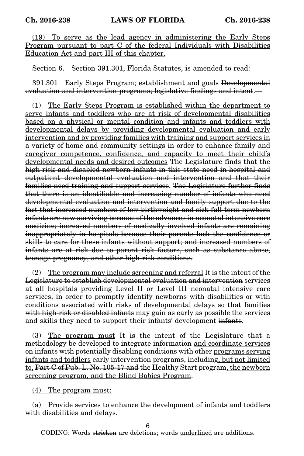(19) To serve as the lead agency in administering the Early Steps Program pursuant to part C of the federal Individuals with Disabilities Education Act and part III of this chapter.

Section 6. Section 391.301, Florida Statutes, is amended to read:

391.301 Early Steps Program; establishment and goals Developmental evaluation and intervention programs; legislative findings and intent.—

(1) The Early Steps Program is established within the department to serve infants and toddlers who are at risk of developmental disabilities based on a physical or mental condition and infants and toddlers with developmental delays by providing developmental evaluation and early intervention and by providing families with training and support services in a variety of home and community settings in order to enhance family and caregiver competence, confidence, and capacity to meet their child's developmental needs and desired outcomes The Legislature finds that the high-risk and disabled newborn infants in this state need in-hospital and outpatient developmental evaluation and intervention and that their families need training and support services. The Legislature further finds that there is an identifiable and increasing number of infants who need developmental evaluation and intervention and family support due to the fact that increased numbers of low-birthweight and sick full-term newborn infants are now surviving because of the advances in neonatal intensive care medicine; increased numbers of medically involved infants are remaining inappropriately in hospitals because their parents lack the confidence or skills to care for these infants without support; and increased numbers of infants are at risk due to parent risk factors, such as substance abuse, teenage pregnancy, and other high-risk conditions.

(2) The program may include screening and referral  $H$  is the intent of the Legislature to establish developmental evaluation and intervention services at all hospitals providing Level II or Level III neonatal intensive care services, in order to promptly identify newborns with disabilities or with conditions associated with risks of developmental delays so that families with high-risk or disabled infants may gain as early as possible the services and skills they need to support their infants' development infants.

(3) The program must It is the intent of the Legislature that a methodology be developed to integrate information and coordinate services on infants with potentially disabling conditions with other programs serving infants and toddlers early intervention programs, including, but not limited to, Part C of Pub. L. No. 105-17 and the Healthy Start program, the newborn screening program, and the Blind Babies Program.

(4) The program must:

(a) Provide services to enhance the development of infants and toddlers with disabilities and delays.

6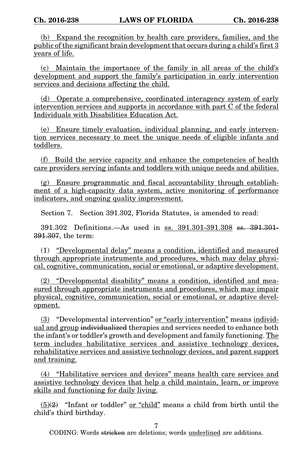(b) Expand the recognition by health care providers, families, and the public of the significant brain development that occurs during a child's first 3 years of life.

(c) Maintain the importance of the family in all areas of the child's development and support the family's participation in early intervention services and decisions affecting the child.

(d) Operate a comprehensive, coordinated interagency system of early intervention services and supports in accordance with part C of the federal Individuals with Disabilities Education Act.

(e) Ensure timely evaluation, individual planning, and early intervention services necessary to meet the unique needs of eligible infants and toddlers.

(f) Build the service capacity and enhance the competencies of health care providers serving infants and toddlers with unique needs and abilities.

(g) Ensure programmatic and fiscal accountability through establishment of a high-capacity data system, active monitoring of performance indicators, and ongoing quality improvement.

Section 7. Section 391.302, Florida Statutes, is amended to read:

391.302 Definitions.—As used in ss. 391.301-391.308 ss. 391.301- 391.307, the term:

(1) "Developmental delay" means a condition, identified and measured through appropriate instruments and procedures, which may delay physical, cognitive, communication, social or emotional, or adaptive development.

(2) "Developmental disability" means a condition, identified and measured through appropriate instruments and procedures, which may impair physical, cognitive, communication, social or emotional, or adaptive development.

(3) "Developmental intervention" or "early intervention" means individual and group individualized therapies and services needed to enhance both the infant's or toddler's growth and development and family functioning. The term includes habilitative services and assistive technology devices, rehabilitative services and assistive technology devices, and parent support and training.

(4) "Habilitative services and devices" means health care services and assistive technology devices that help a child maintain, learn, or improve skills and functioning for daily living.

 $(5)(2)$  "Infant or toddler" or "child" means a child from birth until the child's third birthday.

7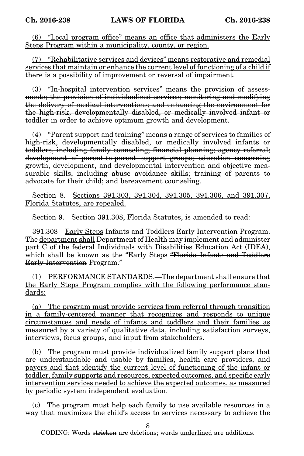(6) "Local program office" means an office that administers the Early Steps Program within a municipality, county, or region.

(7) "Rehabilitative services and devices" means restorative and remedial services that maintain or enhance the current level of functioning of a child if there is a possibility of improvement or reversal of impairment.

(3) "In-hospital intervention services" means the provision of assessments; the provision of individualized services; monitoring and modifying the delivery of medical interventions; and enhancing the environment for the high-risk, developmentally disabled, or medically involved infant or toddler in order to achieve optimum growth and development.

(4) "Parent support and training" means a range of services to families of high-risk, developmentally disabled, or medically involved infants or toddlers, including family counseling; financial planning; agency referral; development of parent-to-parent support groups; education concerning growth, development, and developmental intervention and objective measurable skills, including abuse avoidance skills; training of parents to advocate for their child; and bereavement counseling.

Section 8. Sections 391.303, 391.304, 391.305, 391.306, and 391.307, Florida Statutes, are repealed.

Section 9. Section 391.308, Florida Statutes, is amended to read:

391.308 Early Steps Infants and Toddlers Early Intervention Program. The department shall <del>Department of Health may</del> implement and administer part C of the federal Individuals with Disabilities Education Act (IDEA), which shall be known as the "Early Steps "Florida Infants and Toddlers Early Intervention Program."

(1) PERFORMANCE STANDARDS.—The department shall ensure that the Early Steps Program complies with the following performance standards:

(a) The program must provide services from referral through transition in a family-centered manner that recognizes and responds to unique circumstances and needs of infants and toddlers and their families as measured by a variety of qualitative data, including satisfaction surveys, interviews, focus groups, and input from stakeholders.

(b) The program must provide individualized family support plans that are understandable and usable by families, health care providers, and payers and that identify the current level of functioning of the infant or toddler, family supports and resources, expected outcomes, and specific early intervention services needed to achieve the expected outcomes, as measured by periodic system independent evaluation.

(c) The program must help each family to use available resources in a way that maximizes the child's access to services necessary to achieve the

8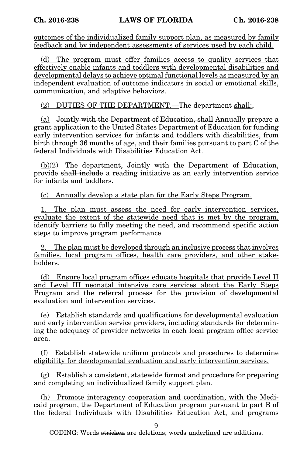outcomes of the individualized family support plan, as measured by family feedback and by independent assessments of services used by each child.

(d) The program must offer families access to quality services that effectively enable infants and toddlers with developmental disabilities and developmental delays to achieve optimal functional levels as measured by an independent evaluation of outcome indicators in social or emotional skills, communication, and adaptive behaviors.

(2) DUTIES OF THE DEPARTMENT.—The department shall:

(a) Jointly with the Department of Education, shall Annually prepare a grant application to the United States Department of Education for funding early intervention services for infants and toddlers with disabilities, from birth through 36 months of age, and their families pursuant to part C of the federal Individuals with Disabilities Education Act.

 $(b)(2)$  The department, Jointly with the Department of Education, provide shall include a reading initiative as an early intervention service for infants and toddlers.

(c) Annually develop a state plan for the Early Steps Program.

1. The plan must assess the need for early intervention services, evaluate the extent of the statewide need that is met by the program, identify barriers to fully meeting the need, and recommend specific action steps to improve program performance.

2. The plan must be developed through an inclusive process that involves families, local program offices, health care providers, and other stakeholders.

(d) Ensure local program offices educate hospitals that provide Level II and Level III neonatal intensive care services about the Early Steps Program and the referral process for the provision of developmental evaluation and intervention services.

(e) Establish standards and qualifications for developmental evaluation and early intervention service providers, including standards for determining the adequacy of provider networks in each local program office service area.

(f) Establish statewide uniform protocols and procedures to determine eligibility for developmental evaluation and early intervention services.

(g) Establish a consistent, statewide format and procedure for preparing and completing an individualized family support plan.

(h) Promote interagency cooperation and coordination, with the Medicaid program, the Department of Education program pursuant to part B of the federal Individuals with Disabilities Education Act, and programs

9

CODING: Words <del>stricken</del> are deletions; words <u>underlined</u> are additions.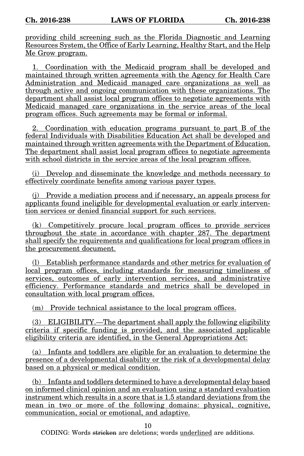providing child screening such as the Florida Diagnostic and Learning Resources System, the Office of Early Learning, Healthy Start, and the Help Me Grow program.

1. Coordination with the Medicaid program shall be developed and maintained through written agreements with the Agency for Health Care Administration and Medicaid managed care organizations as well as through active and ongoing communication with these organizations. The department shall assist local program offices to negotiate agreements with Medicaid managed care organizations in the service areas of the local program offices. Such agreements may be formal or informal.

2. Coordination with education programs pursuant to part B of the federal Individuals with Disabilities Education Act shall be developed and maintained through written agreements with the Department of Education. The department shall assist local program offices to negotiate agreements with school districts in the service areas of the local program offices.

(i) Develop and disseminate the knowledge and methods necessary to effectively coordinate benefits among various payer types.

(j) Provide a mediation process and if necessary, an appeals process for applicants found ineligible for developmental evaluation or early intervention services or denied financial support for such services.

(k) Competitively procure local program offices to provide services throughout the state in accordance with chapter 287. The department shall specify the requirements and qualifications for local program offices in the procurement document.

(l) Establish performance standards and other metrics for evaluation of local program offices, including standards for measuring timeliness of services, outcomes of early intervention services, and administrative efficiency. Performance standards and metrics shall be developed in consultation with local program offices.

(m) Provide technical assistance to the local program offices.

(3) ELIGIBILITY.—The department shall apply the following eligibility criteria if specific funding is provided, and the associated applicable eligibility criteria are identified, in the General Appropriations Act:

(a) Infants and toddlers are eligible for an evaluation to determine the presence of a developmental disability or the risk of a developmental delay based on a physical or medical condition.

(b) Infants and toddlers determined to have a developmental delay based on informed clinical opinion and an evaluation using a standard evaluation instrument which results in a score that is 1.5 standard deviations from the mean in two or more of the following domains: physical, cognitive, communication, social or emotional, and adaptive.

10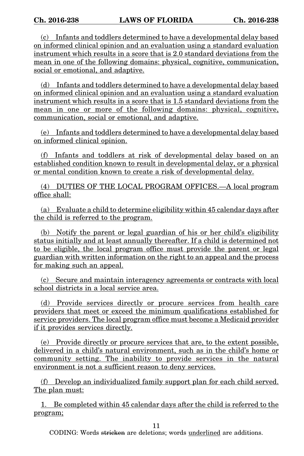(c) Infants and toddlers determined to have a developmental delay based on informed clinical opinion and an evaluation using a standard evaluation instrument which results in a score that is 2.0 standard deviations from the mean in one of the following domains: physical, cognitive, communication, social or emotional, and adaptive.

(d) Infants and toddlers determined to have a developmental delay based on informed clinical opinion and an evaluation using a standard evaluation instrument which results in a score that is 1.5 standard deviations from the mean in one or more of the following domains: physical, cognitive, communication, social or emotional, and adaptive.

(e) Infants and toddlers determined to have a developmental delay based on informed clinical opinion.

(f) Infants and toddlers at risk of developmental delay based on an established condition known to result in developmental delay, or a physical or mental condition known to create a risk of developmental delay.

(4) DUTIES OF THE LOCAL PROGRAM OFFICES.—A local program office shall:

(a) Evaluate a child to determine eligibility within 45 calendar days after the child is referred to the program.

(b) Notify the parent or legal guardian of his or her child's eligibility status initially and at least annually thereafter. If a child is determined not to be eligible, the local program office must provide the parent or legal guardian with written information on the right to an appeal and the process for making such an appeal.

(c) Secure and maintain interagency agreements or contracts with local school districts in a local service area.

(d) Provide services directly or procure services from health care providers that meet or exceed the minimum qualifications established for service providers. The local program office must become a Medicaid provider if it provides services directly.

(e) Provide directly or procure services that are, to the extent possible, delivered in a child's natural environment, such as in the child's home or community setting. The inability to provide services in the natural environment is not a sufficient reason to deny services.

(f) Develop an individualized family support plan for each child served. The plan must:

1. Be completed within 45 calendar days after the child is referred to the program;

11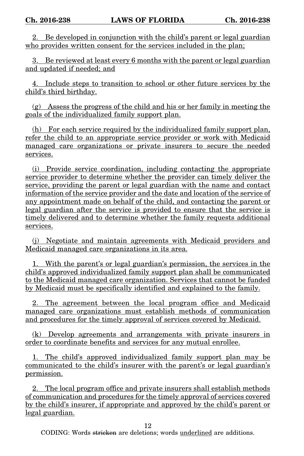2. Be developed in conjunction with the child's parent or legal guardian who provides written consent for the services included in the plan;

3. Be reviewed at least every 6 months with the parent or legal guardian and updated if needed; and

4. Include steps to transition to school or other future services by the child's third birthday.

(g) Assess the progress of the child and his or her family in meeting the goals of the individualized family support plan.

(h) For each service required by the individualized family support plan, refer the child to an appropriate service provider or work with Medicaid managed care organizations or private insurers to secure the needed services.

(i) Provide service coordination, including contacting the appropriate service provider to determine whether the provider can timely deliver the service, providing the parent or legal guardian with the name and contact information of the service provider and the date and location of the service of any appointment made on behalf of the child, and contacting the parent or legal guardian after the service is provided to ensure that the service is timely delivered and to determine whether the family requests additional services.

(j) Negotiate and maintain agreements with Medicaid providers and Medicaid managed care organizations in its area.

1. With the parent's or legal guardian's permission, the services in the child's approved individualized family support plan shall be communicated to the Medicaid managed care organization. Services that cannot be funded by Medicaid must be specifically identified and explained to the family.

2. The agreement between the local program office and Medicaid managed care organizations must establish methods of communication and procedures for the timely approval of services covered by Medicaid.

(k) Develop agreements and arrangements with private insurers in order to coordinate benefits and services for any mutual enrollee.

1. The child's approved individualized family support plan may be communicated to the child's insurer with the parent's or legal guardian's permission.

2. The local program office and private insurers shall establish methods of communication and procedures for the timely approval of services covered by the child's insurer, if appropriate and approved by the child's parent or legal guardian.

12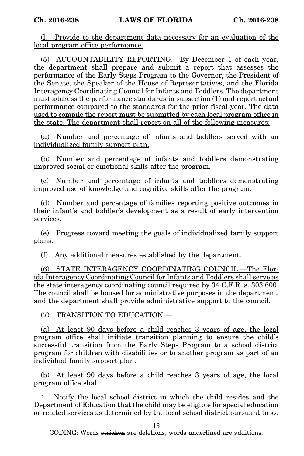(l) Provide to the department data necessary for an evaluation of the local program office performance.

(5) ACCOUNTABILITY REPORTING.—By December 1 of each year, the department shall prepare and submit a report that assesses the performance of the Early Steps Program to the Governor, the President of the Senate, the Speaker of the House of Representatives, and the Florida Interagency Coordinating Council for Infants and Toddlers. The department must address the performance standards in subsection (1) and report actual performance compared to the standards for the prior fiscal year. The data used to compile the report must be submitted by each local program office in the state. The department shall report on all of the following measures:

(a) Number and percentage of infants and toddlers served with an individualized family support plan.

(b) Number and percentage of infants and toddlers demonstrating improved social or emotional skills after the program.

(c) Number and percentage of infants and toddlers demonstrating improved use of knowledge and cognitive skills after the program.

(d) Number and percentage of families reporting positive outcomes in their infant's and toddler's development as a result of early intervention services.

(e) Progress toward meeting the goals of individualized family support plans.

(f) Any additional measures established by the department.

(6) STATE INTERAGENCY COORDINATING COUNCIL.—The Florida Interagency Coordinating Council for Infants and Toddlers shall serve as the state interagency coordinating council required by 34 C.F.R. s. 303.600. The council shall be housed for administrative purposes in the department, and the department shall provide administrative support to the council.

(7) TRANSITION TO EDUCATION.—

(a) At least 90 days before a child reaches 3 years of age, the local program office shall initiate transition planning to ensure the child's successful transition from the Early Steps Program to a school district program for children with disabilities or to another program as part of an individual family support plan.

(b) At least 90 days before a child reaches 3 years of age, the local program office shall:

1. Notify the local school district in which the child resides and the Department of Education that the child may be eligible for special education or related services as determined by the local school district pursuant to ss.

13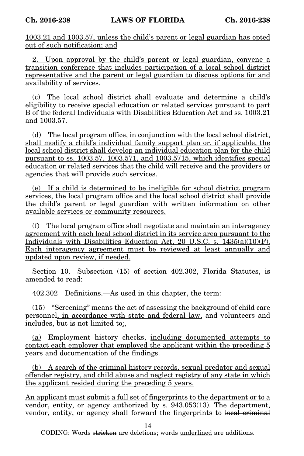1003.21 and 1003.57, unless the child's parent or legal guardian has opted out of such notification; and

2. Upon approval by the child's parent or legal guardian, convene a transition conference that includes participation of a local school district representative and the parent or legal guardian to discuss options for and availability of services.

(c) The local school district shall evaluate and determine a child's eligibility to receive special education or related services pursuant to part B of the federal Individuals with Disabilities Education Act and ss. 1003.21 and 1003.57.

(d) The local program office, in conjunction with the local school district, shall modify a child's individual family support plan or, if applicable, the local school district shall develop an individual education plan for the child pursuant to ss. 1003.57, 1003.571, and 1003.5715, which identifies special education or related services that the child will receive and the providers or agencies that will provide such services.

(e) If a child is determined to be ineligible for school district program services, the local program office and the local school district shall provide the child's parent or legal guardian with written information on other available services or community resources.

(f) The local program office shall negotiate and maintain an interagency agreement with each local school district in its service area pursuant to the Individuals with Disabilities Education Act, 20 U.S.C. s.  $1435(a)(10)(F)$ . Each interagency agreement must be reviewed at least annually and updated upon review, if needed.

Section 10. Subsection (15) of section 402.302, Florida Statutes, is amended to read:

402.302 Definitions.—As used in this chapter, the term:

(15) "Screening" means the act of assessing the background of child care personnel, in accordance with state and federal law, and volunteers and includes, but is not limited to:

(a) Employment history checks, including documented attempts to contact each employer that employed the applicant within the preceding 5 years and documentation of the findings.

(b) A search of the criminal history records, sexual predator and sexual offender registry, and child abuse and neglect registry of any state in which the applicant resided during the preceding 5 years.

An applicant must submit a full set of fingerprints to the department or to a vendor, entity, or agency authorized by s. 943.053(13). The department, vendor, entity, or agency shall forward the fingerprints to local criminal

14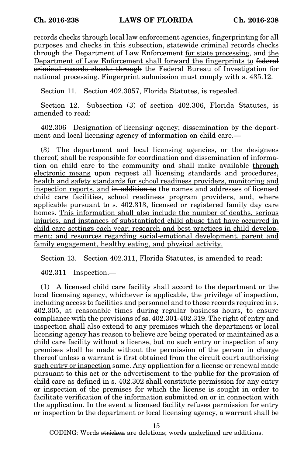records checks through local law enforcement agencies, fingerprinting for all purposes and checks in this subsection, statewide criminal records checks through the Department of Law Enforcement for state processing, and the Department of Law Enforcement shall forward the fingerprints to federal criminal records checks through the Federal Bureau of Investigation for national processing. Fingerprint submission must comply with s. 435.12.

Section 11. Section 402.3057, Florida Statutes, is repealed.

Section 12. Subsection (3) of section 402.306, Florida Statutes, is amended to read:

402.306 Designation of licensing agency; dissemination by the department and local licensing agency of information on child care.—

(3) The department and local licensing agencies, or the designees thereof, shall be responsible for coordination and dissemination of information on child care to the community and shall make available through electronic means upon request all licensing standards and procedures, health and safety standards for school readiness providers, monitoring and inspection reports, and in addition to the names and addresses of licensed child care facilities, school readiness program providers, and, where applicable pursuant to s. 402.313, licensed or registered family day care homes. This information shall also include the number of deaths, serious injuries, and instances of substantiated child abuse that have occurred in child care settings each year; research and best practices in child development; and resources regarding social-emotional development, parent and family engagement, healthy eating, and physical activity.

Section 13. Section 402.311, Florida Statutes, is amended to read:

402.311 Inspection.—

(1) A licensed child care facility shall accord to the department or the local licensing agency, whichever is applicable, the privilege of inspection, including access to facilities and personnel and to those records required in s. 402.305, at reasonable times during regular business hours, to ensure compliance with the provisions of ss. 402.301-402.319. The right of entry and inspection shall also extend to any premises which the department or local licensing agency has reason to believe are being operated or maintained as a child care facility without a license, but no such entry or inspection of any premises shall be made without the permission of the person in charge thereof unless a warrant is first obtained from the circuit court authorizing such entry or inspection same. Any application for a license or renewal made pursuant to this act or the advertisement to the public for the provision of child care as defined in s. 402.302 shall constitute permission for any entry or inspection of the premises for which the license is sought in order to facilitate verification of the information submitted on or in connection with the application. In the event a licensed facility refuses permission for entry or inspection to the department or local licensing agency, a warrant shall be

15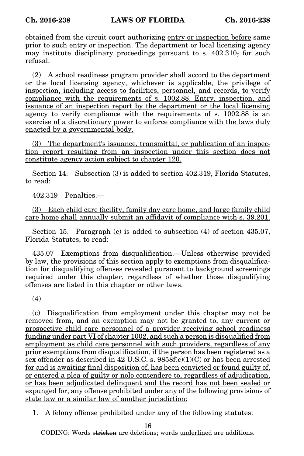obtained from the circuit court authorizing entry or inspection before same prior to such entry or inspection. The department or local licensing agency may institute disciplinary proceedings pursuant to s. 402.310, for such refusal.

(2) A school readiness program provider shall accord to the department or the local licensing agency, whichever is applicable, the privilege of inspection, including access to facilities, personnel, and records, to verify compliance with the requirements of s. 1002.88. Entry, inspection, and issuance of an inspection report by the department or the local licensing agency to verify compliance with the requirements of s. 1002.88 is an exercise of a discretionary power to enforce compliance with the laws duly enacted by a governmental body.

(3) The department's issuance, transmittal, or publication of an inspection report resulting from an inspection under this section does not constitute agency action subject to chapter 120.

Section 14. Subsection (3) is added to section 402.319, Florida Statutes, to read:

402.319 Penalties.—

(3) Each child care facility, family day care home, and large family child care home shall annually submit an affidavit of compliance with s. 39.201.

Section 15. Paragraph (c) is added to subsection (4) of section 435.07, Florida Statutes, to read:

435.07 Exemptions from disqualification.—Unless otherwise provided by law, the provisions of this section apply to exemptions from disqualification for disqualifying offenses revealed pursuant to background screenings required under this chapter, regardless of whether those disqualifying offenses are listed in this chapter or other laws.

(4)

(c) Disqualification from employment under this chapter may not be removed from, and an exemption may not be granted to, any current or prospective child care personnel of a provider receiving school readiness funding under part VI of chapter 1002, and such a person is disqualified from employment as child care personnel with such providers, regardless of any prior exemptions from disqualification, if the person has been registered as a sex offender as described in 42 U.S.C. s.  $9858f(c)(1)(C)$  or has been arrested for and is awaiting final disposition of, has been convicted or found guilty of, or entered a plea of guilty or nolo contendere to, regardless of adjudication, or has been adjudicated delinquent and the record has not been sealed or expunged for, any offense prohibited under any of the following provisions of state law or a similar law of another jurisdiction:

1. A felony offense prohibited under any of the following statutes:

16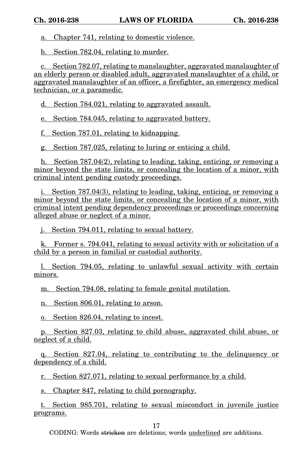a. Chapter 741, relating to domestic violence.

b. Section 782.04, relating to murder.

c. Section 782.07, relating to manslaughter, aggravated manslaughter of an elderly person or disabled adult, aggravated manslaughter of a child, or aggravated manslaughter of an officer, a firefighter, an emergency medical technician, or a paramedic.

d. Section 784.021, relating to aggravated assault.

e. Section 784.045, relating to aggravated battery.

f. Section 787.01, relating to kidnapping.

g. Section 787.025, relating to luring or enticing a child.

h. Section 787.04(2), relating to leading, taking, enticing, or removing a minor beyond the state limits, or concealing the location of a minor, with criminal intent pending custody proceedings.

i. Section 787.04(3), relating to leading, taking, enticing, or removing a minor beyond the state limits, or concealing the location of a minor, with criminal intent pending dependency proceedings or proceedings concerning alleged abuse or neglect of a minor.

j. Section 794.011, relating to sexual battery.

k. Former s. 794.041, relating to sexual activity with or solicitation of a child by a person in familial or custodial authority.

l. Section 794.05, relating to unlawful sexual activity with certain minors.

m. Section 794.08, relating to female genital mutilation.

n. Section 806.01, relating to arson.

o. Section 826.04, relating to incest.

p. Section 827.03, relating to child abuse, aggravated child abuse, or neglect of a child.

q. Section 827.04, relating to contributing to the delinquency or dependency of a child.

r. Section 827.071, relating to sexual performance by a child.

s. Chapter 847, relating to child pornography.

t. Section 985.701, relating to sexual misconduct in juvenile justice programs.

17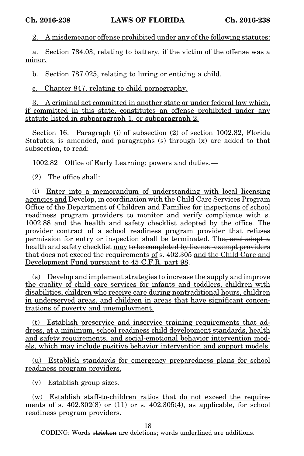2. A misdemeanor offense prohibited under any of the following statutes:

a. Section 784.03, relating to battery, if the victim of the offense was a minor.

b. Section 787.025, relating to luring or enticing a child.

c. Chapter 847, relating to child pornography.

3. A criminal act committed in another state or under federal law which, if committed in this state, constitutes an offense prohibited under any statute listed in subparagraph 1. or subparagraph 2.

Section 16. Paragraph (i) of subsection (2) of section 1002.82, Florida Statutes, is amended, and paragraphs (s) through (x) are added to that subsection, to read:

1002.82 Office of Early Learning; powers and duties.—

(2) The office shall:

(i) Enter into a memorandum of understanding with local licensing agencies and Develop, in coordination with the Child Care Services Program Office of the Department of Children and Families for inspections of school readiness program providers to monitor and verify compliance with s. 1002.88 and the health and safety checklist adopted by the office. The provider contract of a school readiness program provider that refuses permission for entry or inspection shall be terminated. The, and adopt a health and safety checklist may to be completed by license-exempt providers that does not exceed the requirements of s. 402.305 and the Child Care and Development Fund pursuant to 45 C.F.R. part 98.

(s) Develop and implement strategies to increase the supply and improve the quality of child care services for infants and toddlers, children with disabilities, children who receive care during nontraditional hours, children in underserved areas, and children in areas that have significant concentrations of poverty and unemployment.

(t) Establish preservice and inservice training requirements that address, at a minimum, school readiness child development standards, health and safety requirements, and social-emotional behavior intervention models, which may include positive behavior intervention and support models.

(u) Establish standards for emergency preparedness plans for school readiness program providers.

(v) Establish group sizes.

(w) Establish staff-to-children ratios that do not exceed the requirements of s.  $402.302(8)$  or  $(11)$  or s.  $402.305(4)$ , as applicable, for school readiness program providers.

18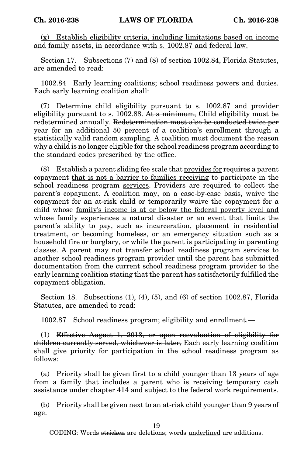(x) Establish eligibility criteria, including limitations based on income and family assets, in accordance with s. 1002.87 and federal law.

Section 17. Subsections (7) and (8) of section 1002.84, Florida Statutes, are amended to read:

1002.84 Early learning coalitions; school readiness powers and duties. Each early learning coalition shall:

(7) Determine child eligibility pursuant to s. 1002.87 and provider eligibility pursuant to s. 1002.88. At a minimum, Child eligibility must be redetermined annually. Redetermination must also be conducted twice per year for an additional 50 percent of a coalition's enrollment through a statistically valid random sampling. A coalition must document the reason why a child is no longer eligible for the school readiness program according to the standard codes prescribed by the office.

(8) Establish a parent sliding fee scale that provides for requires a parent copayment that is not a barrier to families receiving to participate in the school readiness program services. Providers are required to collect the parent's copayment. A coalition may, on a case-by-case basis, waive the copayment for an at-risk child or temporarily waive the copayment for a child whose family's income is at or below the federal poverty level and whose family experiences a natural disaster or an event that limits the parent's ability to pay, such as incarceration, placement in residential treatment, or becoming homeless, or an emergency situation such as a household fire or burglary, or while the parent is participating in parenting classes. A parent may not transfer school readiness program services to another school readiness program provider until the parent has submitted documentation from the current school readiness program provider to the early learning coalition stating that the parent has satisfactorily fulfilled the copayment obligation.

Section 18. Subsections (1), (4), (5), and (6) of section 1002.87, Florida Statutes, are amended to read:

1002.87 School readiness program; eligibility and enrollment.—

(1) Effective August 1, 2013, or upon reevaluation of eligibility for children currently served, whichever is later, Each early learning coalition shall give priority for participation in the school readiness program as follows:

(a) Priority shall be given first to a child younger than 13 years of age from a family that includes a parent who is receiving temporary cash assistance under chapter 414 and subject to the federal work requirements.

(b) Priority shall be given next to an at-risk child younger than 9 years of age.

19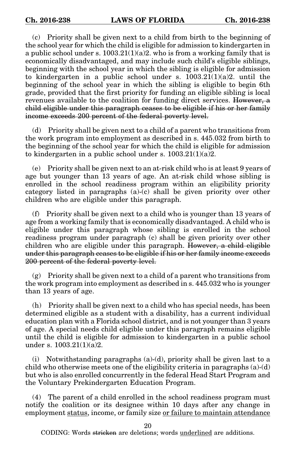(c) Priority shall be given next to a child from birth to the beginning of the school year for which the child is eligible for admission to kindergarten in a public school under s.  $1003.21(1)(a)2$ , who is from a working family that is economically disadvantaged, and may include such child's eligible siblings, beginning with the school year in which the sibling is eligible for admission to kindergarten in a public school under s.  $1003.21(1)(a)2$ . until the beginning of the school year in which the sibling is eligible to begin 6th grade, provided that the first priority for funding an eligible sibling is local revenues available to the coalition for funding direct services. However, a child eligible under this paragraph ceases to be eligible if his or her family income exceeds 200 percent of the federal poverty level.

(d) Priority shall be given next to a child of a parent who transitions from the work program into employment as described in s. 445.032 from birth to the beginning of the school year for which the child is eligible for admission to kindergarten in a public school under s.  $1003.21(1)(a)2$ .

(e) Priority shall be given next to an at-risk child who is at least 9 years of age but younger than 13 years of age. An at-risk child whose sibling is enrolled in the school readiness program within an eligibility priority category listed in paragraphs (a)-(c) shall be given priority over other children who are eligible under this paragraph.

(f) Priority shall be given next to a child who is younger than 13 years of age from a working family that is economically disadvantaged. A child who is eligible under this paragraph whose sibling is enrolled in the school readiness program under paragraph (c) shall be given priority over other children who are eligible under this paragraph. However, a child eligible under this paragraph ceases to be eligible if his or her family income exceeds 200 percent of the federal poverty level.

 $(g)$  Priority shall be given next to a child of a parent who transitions from the work program into employment as described in s. 445.032 who is younger than 13 years of age.

(h) Priority shall be given next to a child who has special needs, has been determined eligible as a student with a disability, has a current individual education plan with a Florida school district, and is not younger than 3 years of age. A special needs child eligible under this paragraph remains eligible until the child is eligible for admission to kindergarten in a public school under s. 1003.21(1)(a)2.

(i) Notwithstanding paragraphs  $(a)-(d)$ , priority shall be given last to a child who otherwise meets one of the eligibility criteria in paragraphs (a)-(d) but who is also enrolled concurrently in the federal Head Start Program and the Voluntary Prekindergarten Education Program.

(4) The parent of a child enrolled in the school readiness program must notify the coalition or its designee within 10 days after any change in employment status, income, or family size or failure to maintain attendance

20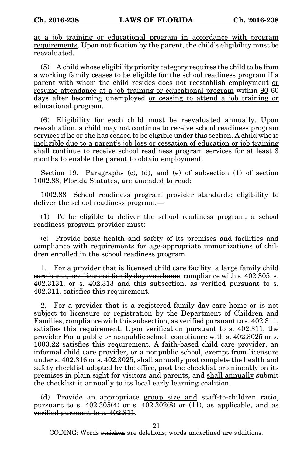at a job training or educational program in accordance with program requirements. Upon notification by the parent, the child's eligibility must be reevaluated.

(5) A child whose eligibility priority category requires the child to be from a working family ceases to be eligible for the school readiness program if a parent with whom the child resides does not reestablish employment or resume attendance at a job training or educational program within 90 60 days after becoming unemployed <u>or ceasing to attend</u> a job training or educational program.

(6) Eligibility for each child must be reevaluated annually. Upon reevaluation, a child may not continue to receive school readiness program services if he or she has ceased to be eligible under this section. A child who is ineligible due to a parent's job loss or cessation of education or job training shall continue to receive school readiness program services for at least 3 months to enable the parent to obtain employment.

Section 19. Paragraphs (c), (d), and (e) of subsection (1) of section 1002.88, Florida Statutes, are amended to read:

1002.88 School readiness program provider standards; eligibility to deliver the school readiness program.—

(1) To be eligible to deliver the school readiness program, a school readiness program provider must:

(c) Provide basic health and safety of its premises and facilities and compliance with requirements for age-appropriate immunizations of children enrolled in the school readiness program.

1. For a provider that is licensed child care facility, a large family child care home, or a licensed family day care home, compliance with s. 402.305, s. 402.3131, or s. 402.313 and this subsection, as verified pursuant to s. 402.311, satisfies this requirement.

2. For a provider that is a registered family day care home or is not subject to licensure or registration by the Department of Children and Families, compliance with this subsection, as verified pursuant to s. 402.311, satisfies this requirement. Upon verification pursuant to s. 402.311, the provider For a public or nonpublic school, compliance with s. 402.3025 or s. 1003.22 satisfies this requirement. A faith-based child care provider, an informal child care provider, or a nonpublic school, exempt from licensure under s.  $402.316$  or s.  $402.3025$ , shall annually post complete the health and safety checklist adopted by the office, post the checklist prominently on its premises in plain sight for visitors and parents, and shall annually submit the checklist it annually to its local early learning coalition.

(d) Provide an appropriate group size and staff-to-children ratiopursuant to s.  $402.305(4)$  or s.  $402.302(8)$  or  $(11)$ , as applicable, and as verified pursuant to s. 402.311.

21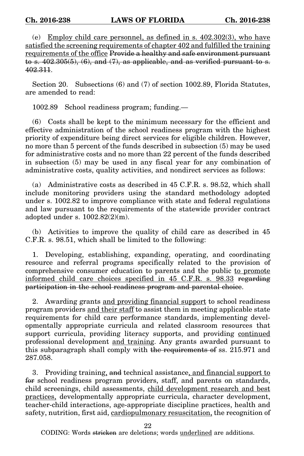(e) Employ child care personnel, as defined in s. 402.302(3), who have satisfied the screening requirements of chapter 402 and fulfilled the training requirements of the office Provide a healthy and safe environment pursuant to s.  $402.305(5)$ ,  $(6)$ , and  $(7)$ , as applicable, and as verified pursuant to s. 402.311.

Section 20. Subsections (6) and (7) of section 1002.89, Florida Statutes, are amended to read:

1002.89 School readiness program; funding.—

(6) Costs shall be kept to the minimum necessary for the efficient and effective administration of the school readiness program with the highest priority of expenditure being direct services for eligible children. However, no more than 5 percent of the funds described in subsection (5) may be used for administrative costs and no more than 22 percent of the funds described in subsection (5) may be used in any fiscal year for any combination of administrative costs, quality activities, and nondirect services as follows:

(a) Administrative costs as described in 45 C.F.R. s. 98.52, which shall include monitoring providers using the standard methodology adopted under s. 1002.82 to improve compliance with state and federal regulations and law pursuant to the requirements of the statewide provider contract adopted under s. 1002.82(2)(m).

(b) Activities to improve the quality of child care as described in 45 C.F.R. s. 98.51, which shall be limited to the following:

1. Developing, establishing, expanding, operating, and coordinating resource and referral programs specifically related to the provision of comprehensive consumer education to parents and the public to promote informed child care choices specified in 45 C.F.R. s. 98.33 regarding participation in the school readiness program and parental choice.

2. Awarding grants and providing financial support to school readiness program providers and their staff to assist them in meeting applicable state requirements for child care performance standards, implementing developmentally appropriate curricula and related classroom resources that support curricula, providing literacy supports, and providing continued professional development and training. Any grants awarded pursuant to this subparagraph shall comply with the requirements of ss. 215.971 and 287.058.

3. Providing training, and technical assistance, and financial support to for school readiness program providers, staff, and parents on standards, child screenings, child assessments, child development research and best practices, developmentally appropriate curricula, character development, teacher-child interactions, age-appropriate discipline practices, health and safety, nutrition, first aid, cardiopulmonary resuscitation, the recognition of

22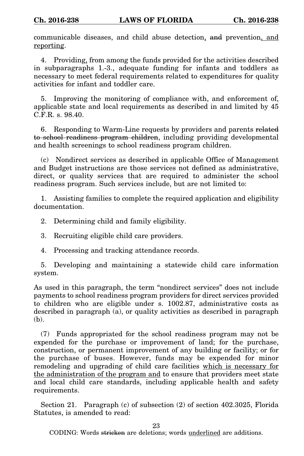communicable diseases, and child abuse detection, and prevention, and reporting.

4. Providing, from among the funds provided for the activities described in subparagraphs 1.-3., adequate funding for infants and toddlers as necessary to meet federal requirements related to expenditures for quality activities for infant and toddler care.

5. Improving the monitoring of compliance with, and enforcement of, applicable state and local requirements as described in and limited by 45 C.F.R. s. 98.40.

6. Responding to Warm-Line requests by providers and parents related to school readiness program children, including providing developmental and health screenings to school readiness program children.

(c) Nondirect services as described in applicable Office of Management and Budget instructions are those services not defined as administrative, direct, or quality services that are required to administer the school readiness program. Such services include, but are not limited to:

1. Assisting families to complete the required application and eligibility documentation.

2. Determining child and family eligibility.

3. Recruiting eligible child care providers.

4. Processing and tracking attendance records.

5. Developing and maintaining a statewide child care information system.

As used in this paragraph, the term "nondirect services" does not include payments to school readiness program providers for direct services provided to children who are eligible under s. 1002.87, administrative costs as described in paragraph (a), or quality activities as described in paragraph (b).

(7) Funds appropriated for the school readiness program may not be expended for the purchase or improvement of land; for the purchase, construction, or permanent improvement of any building or facility; or for the purchase of buses. However, funds may be expended for minor remodeling and upgrading of child care facilities which is necessary for the administration of the program and to ensure that providers meet state and local child care standards, including applicable health and safety requirements.

Section 21. Paragraph (c) of subsection (2) of section 402.3025, Florida Statutes, is amended to read:

23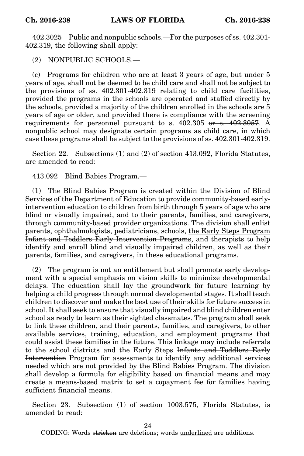402.3025 Public and nonpublic schools.—For the purposes of ss. 402.301- 402.319, the following shall apply:

(2) NONPUBLIC SCHOOLS.—

(c) Programs for children who are at least 3 years of age, but under 5 years of age, shall not be deemed to be child care and shall not be subject to the provisions of ss. 402.301-402.319 relating to child care facilities, provided the programs in the schools are operated and staffed directly by the schools, provided a majority of the children enrolled in the schools are 5 years of age or older, and provided there is compliance with the screening requirements for personnel pursuant to s. 402.305 or s. 402.3057. A nonpublic school may designate certain programs as child care, in which case these programs shall be subject to the provisions of ss. 402.301-402.319.

Section 22. Subsections (1) and (2) of section 413.092, Florida Statutes, are amended to read:

413.092 Blind Babies Program.—

(1) The Blind Babies Program is created within the Division of Blind Services of the Department of Education to provide community-based earlyintervention education to children from birth through 5 years of age who are blind or visually impaired, and to their parents, families, and caregivers, through community-based provider organizations. The division shall enlist parents, ophthalmologists, pediatricians, schools, the Early Steps Program Infant and Toddlers Early Intervention Programs, and therapists to help identify and enroll blind and visually impaired children, as well as their parents, families, and caregivers, in these educational programs.

(2) The program is not an entitlement but shall promote early development with a special emphasis on vision skills to minimize developmental delays. The education shall lay the groundwork for future learning by helping a child progress through normal developmental stages. It shall teach children to discover and make the best use of their skills for future success in school. It shall seek to ensure that visually impaired and blind children enter school as ready to learn as their sighted classmates. The program shall seek to link these children, and their parents, families, and caregivers, to other available services, training, education, and employment programs that could assist these families in the future. This linkage may include referrals to the school districts and the Early Steps Infants and Toddlers Early Intervention Program for assessments to identify any additional services needed which are not provided by the Blind Babies Program. The division shall develop a formula for eligibility based on financial means and may create a means-based matrix to set a copayment fee for families having sufficient financial means.

Section 23. Subsection (1) of section 1003.575, Florida Statutes, is amended to read:

24